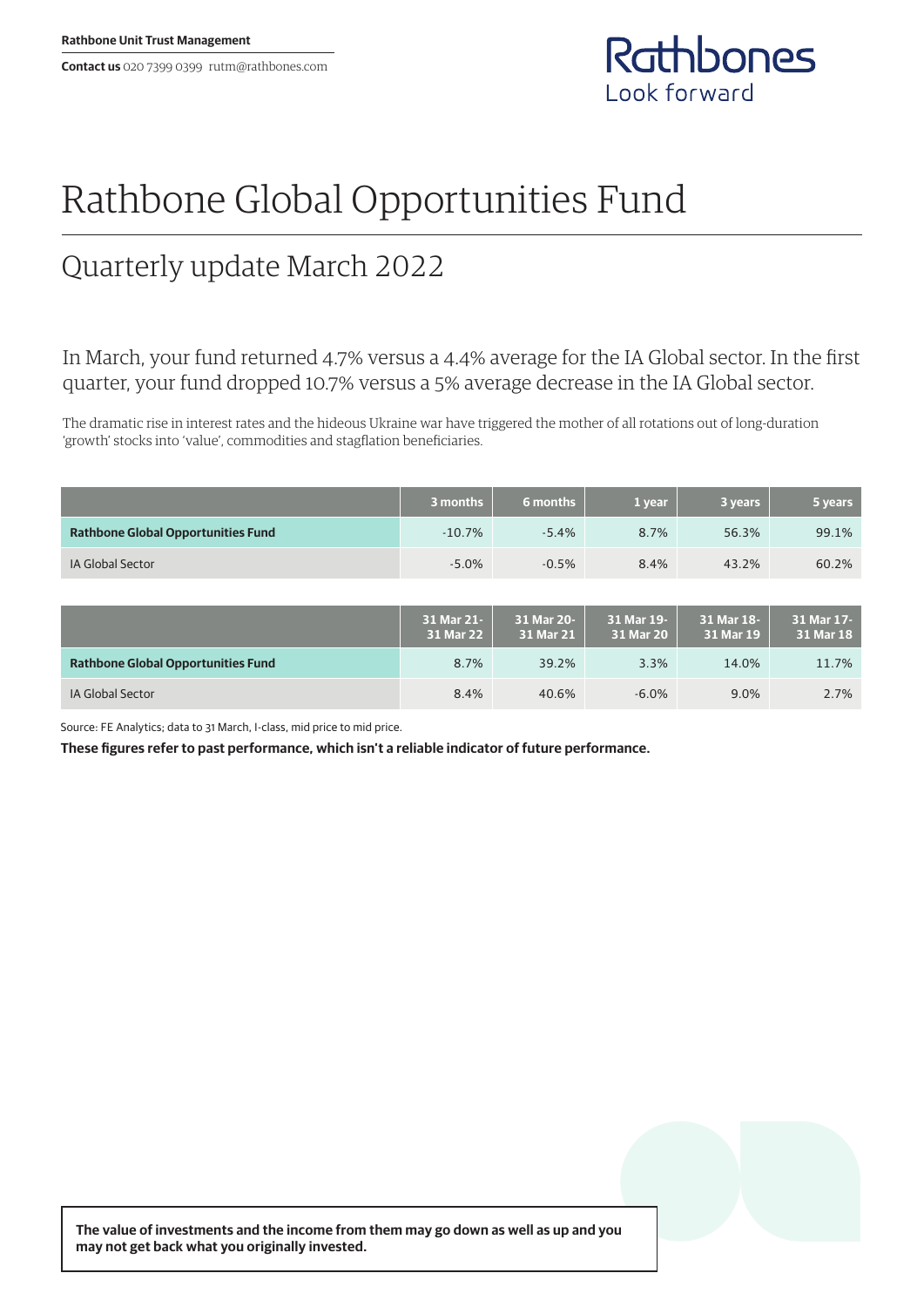**Contact us** 020 7399 0399 rutm@rathbones.com



# Rathbone Global Opportunities Fund

## Quarterly update March 2022

In March, your fund returned 4.7% versus a 4.4% average for the IA Global sector. In the first quarter, your fund dropped 10.7% versus a 5% average decrease in the IA Global sector.

The dramatic rise in interest rates and the hideous Ukraine war have triggered the mother of all rotations out of long-duration 'growth' stocks into 'value', commodities and stagflation beneficiaries.

|                                           | 3 months                | 6 months                | 1 year                  | 3 years                 | 5 years                 |
|-------------------------------------------|-------------------------|-------------------------|-------------------------|-------------------------|-------------------------|
| <b>Rathbone Global Opportunities Fund</b> | $-10.7%$                | $-5.4%$                 | 8.7%                    | 56.3%                   | 99.1%                   |
| <b>IA Global Sector</b>                   | $-5.0%$                 | $-0.5%$                 | 8.4%                    | 43.2%                   | 60.2%                   |
|                                           |                         |                         |                         |                         |                         |
|                                           | 31 Mar 21-<br>31 Mar 22 | 31 Mar 20-<br>31 Mar 21 | 31 Mar 19-<br>31 Mar 20 | 31 Mar 18-<br>31 Mar 19 | 31 Mar 17-<br>31 Mar 18 |
| <b>Rathbone Global Opportunities Fund</b> | 8.7%                    | 39.2%                   | 3.3%                    | 14.0%                   | 11.7%                   |
| <b>IA Global Sector</b>                   | 8.4%                    | 40.6%                   | $-6.0%$                 | 9.0%                    | 2.7%                    |

Source: FE Analytics; data to 31 March, I-class, mid price to mid price.

**These figures refer to past performance, which isn't a reliable indicator of future performance.**

**The value of investments and the income from them may go down as well as up and you may not get back what you originally invested.**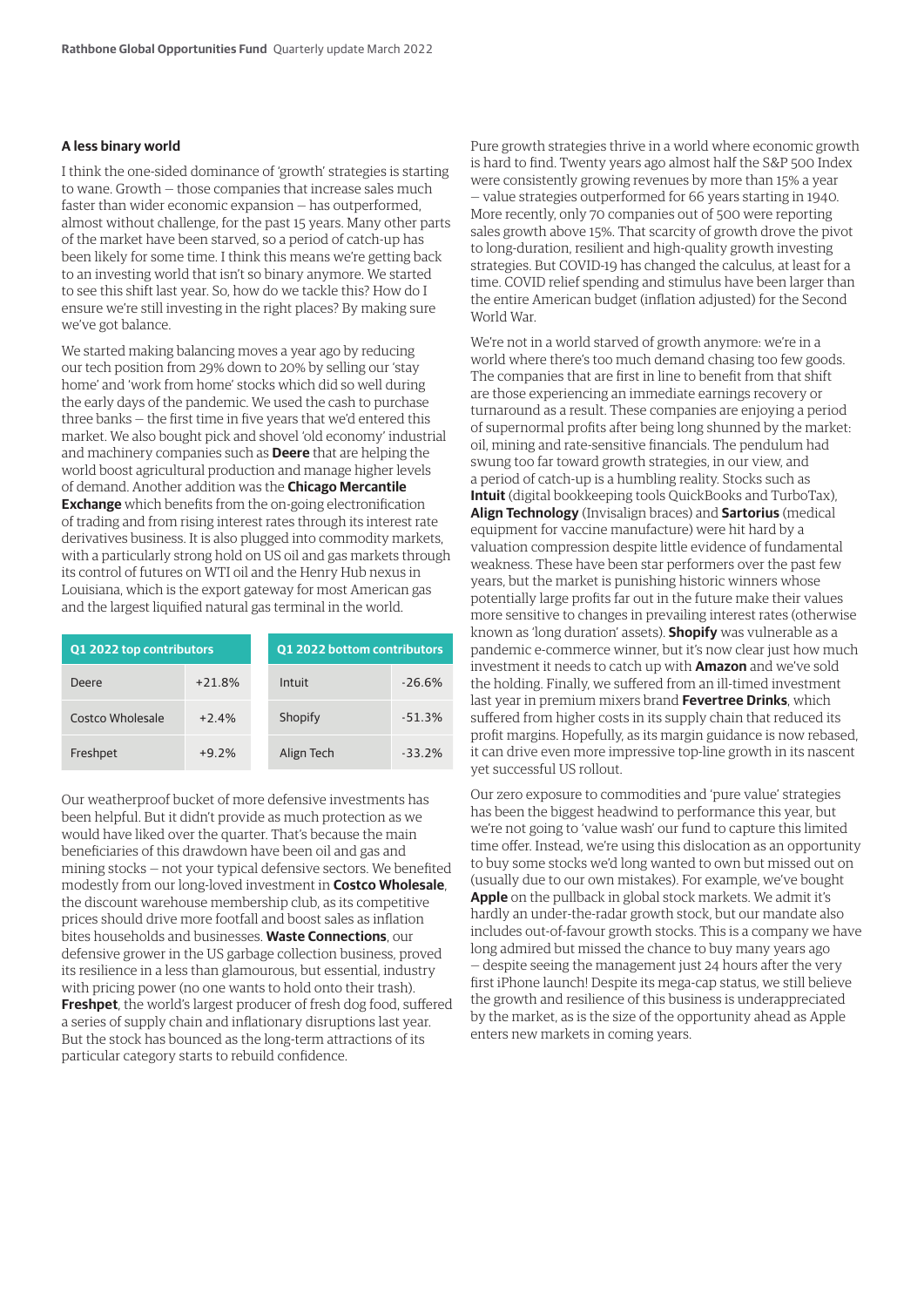#### **A less binary world**

I think the one-sided dominance of 'growth' strategies is starting to wane. Growth — those companies that increase sales much faster than wider economic expansion — has outperformed, almost without challenge, for the past 15 years. Many other parts of the market have been starved, so a period of catch-up has been likely for some time. I think this means we're getting back to an investing world that isn't so binary anymore. We started to see this shift last year. So, how do we tackle this? How do I ensure we're still investing in the right places? By making sure we've got balance.

We started making balancing moves a year ago by reducing our tech position from 29% down to 20% by selling our 'stay home' and 'work from home' stocks which did so well during the early days of the pandemic. We used the cash to purchase three banks — the first time in five years that we'd entered this market. We also bought pick and shovel 'old economy' industrial and machinery companies such as **Deere** that are helping the world boost agricultural production and manage higher levels of demand. Another addition was the **Chicago Mercantile Exchange** which benefits from the on-going electronification of trading and from rising interest rates through its interest rate derivatives business. It is also plugged into commodity markets, with a particularly strong hold on US oil and gas markets through its control of futures on WTI oil and the Henry Hub nexus in Louisiana, which is the export gateway for most American gas and the largest liquified natural gas terminal in the world.

| Q1 2022 top contributors |          | Q1 2022 bottom contributors |          |  |
|--------------------------|----------|-----------------------------|----------|--|
| Deere                    | $+21.8%$ | Intuit                      | $-26.6%$ |  |
| Costco Wholesale         | $+2.4%$  | Shopify                     | $-51.3%$ |  |
| Freshpet                 | $+9.2%$  | Align Tech                  | $-33.2%$ |  |

Our weatherproof bucket of more defensive investments has been helpful. But it didn't provide as much protection as we would have liked over the quarter. That's because the main beneficiaries of this drawdown have been oil and gas and mining stocks — not your typical defensive sectors. We benefited modestly from our long-loved investment in **Costco Wholesale**, the discount warehouse membership club, as its competitive prices should drive more footfall and boost sales as inflation bites households and businesses. **Waste Connections**, our defensive grower in the US garbage collection business, proved its resilience in a less than glamourous, but essential, industry with pricing power (no one wants to hold onto their trash). **Freshpet**, the world's largest producer of fresh dog food, suffered a series of supply chain and inflationary disruptions last year. But the stock has bounced as the long-term attractions of its particular category starts to rebuild confidence.

Pure growth strategies thrive in a world where economic growth is hard to find. Twenty years ago almost half the S&P 500 Index were consistently growing revenues by more than 15% a year — value strategies outperformed for 66 years starting in 1940. More recently, only 70 companies out of 500 were reporting sales growth above 15%. That scarcity of growth drove the pivot to long-duration, resilient and high-quality growth investing strategies. But COVID-19 has changed the calculus, at least for a time. COVID relief spending and stimulus have been larger than the entire American budget (inflation adjusted) for the Second World War.

We're not in a world starved of growth anymore: we're in a world where there's too much demand chasing too few goods. The companies that are first in line to benefit from that shift are those experiencing an immediate earnings recovery or turnaround as a result. These companies are enjoying a period of supernormal profits after being long shunned by the market: oil, mining and rate-sensitive financials. The pendulum had swung too far toward growth strategies, in our view, and a period of catch-up is a humbling reality. Stocks such as **Intuit** (digital bookkeeping tools QuickBooks and TurboTax), **Align Technology** (Invisalign braces) and **Sartorius** (medical equipment for vaccine manufacture) were hit hard by a valuation compression despite little evidence of fundamental weakness. These have been star performers over the past few years, but the market is punishing historic winners whose potentially large profits far out in the future make their values more sensitive to changes in prevailing interest rates (otherwise known as 'long duration' assets). **Shopify** was vulnerable as a pandemic e-commerce winner, but it's now clear just how much investment it needs to catch up with **Amazon** and we've sold the holding. Finally, we suffered from an ill-timed investment last year in premium mixers brand **Fevertree Drinks**, which suffered from higher costs in its supply chain that reduced its profit margins. Hopefully, as its margin guidance is now rebased, it can drive even more impressive top-line growth in its nascent yet successful US rollout.

Our zero exposure to commodities and 'pure value' strategies has been the biggest headwind to performance this year, but we're not going to 'value wash' our fund to capture this limited time offer. Instead, we're using this dislocation as an opportunity to buy some stocks we'd long wanted to own but missed out on (usually due to our own mistakes). For example, we've bought **Apple** on the pullback in global stock markets. We admit it's hardly an under-the-radar growth stock, but our mandate also includes out-of-favour growth stocks. This is a company we have long admired but missed the chance to buy many years ago — despite seeing the management just 24 hours after the very first iPhone launch! Despite its mega-cap status, we still believe the growth and resilience of this business is underappreciated by the market, as is the size of the opportunity ahead as Apple enters new markets in coming years.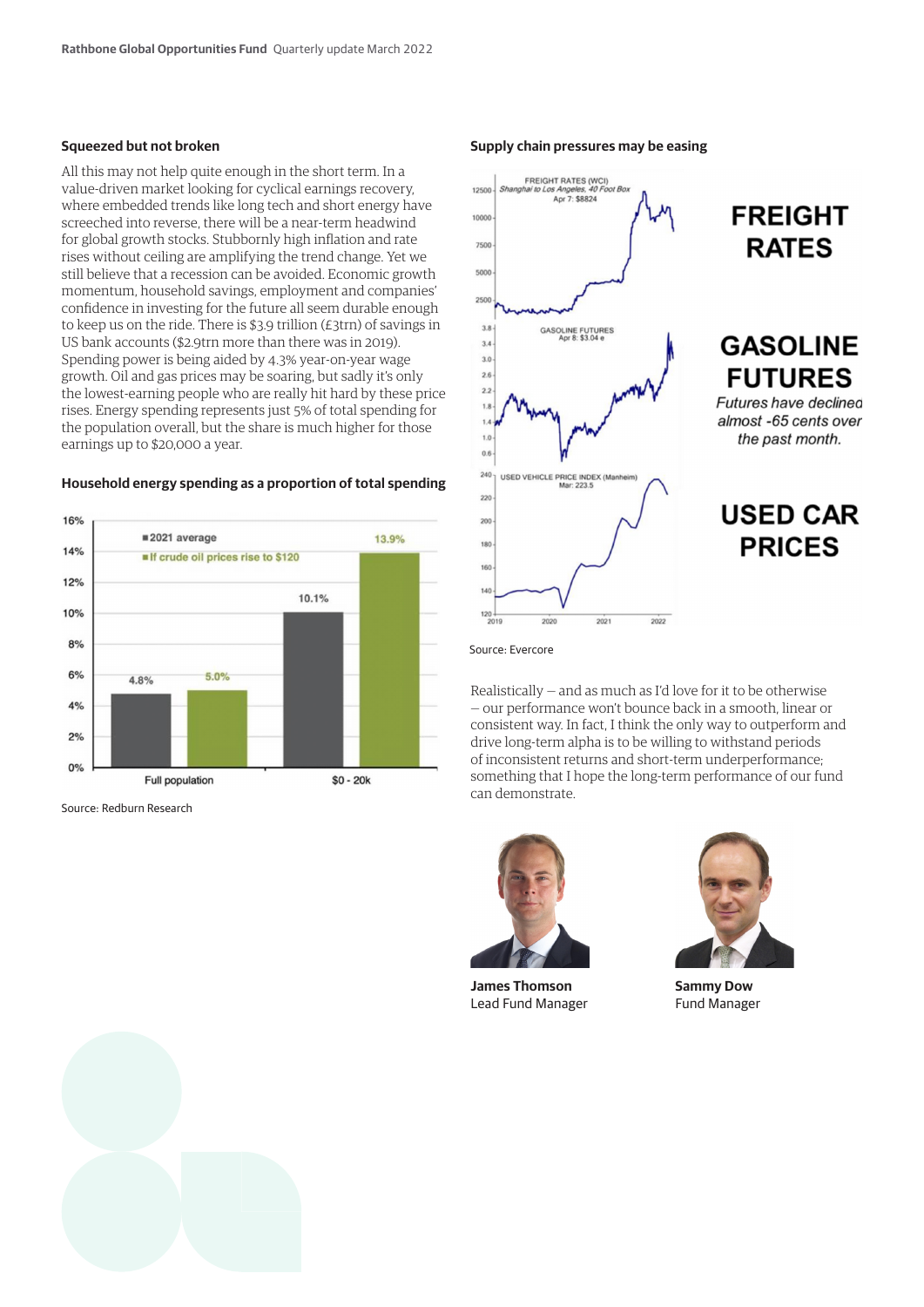#### **Squeezed but not broken**

All this may not help quite enough in the short term. In a value-driven market looking for cyclical earnings recovery, where embedded trends like long tech and short energy have screeched into reverse, there will be a near-term headwind for global growth stocks. Stubbornly high inflation and rate rises without ceiling are amplifying the trend change. Yet we still believe that a recession can be avoided. Economic growth momentum, household savings, employment and companies' confidence in investing for the future all seem durable enough to keep us on the ride. There is \$3.9 trillion (£3trn) of savings in US bank accounts (\$2.9trn more than there was in 2019). Spending power is being aided by 4.3% year-on-year wage growth. Oil and gas prices may be soaring, but sadly it's only the lowest-earning people who are really hit hard by these price rises. Energy spending represents just 5% of total spending for the population overall, but the share is much higher for those earnings up to \$20,000 a year.

### **Household energy spending as a proportion of total spending**



Source: Redburn Research

#### **Supply chain pressures may be easing**



Source: Evercore

Realistically — and as much as I'd love for it to be otherwise — our performance won't bounce back in a smooth, linear or consistent way. In fact, I think the only way to outperform and drive long-term alpha is to be willing to withstand periods of inconsistent returns and short-term underperformance; something that I hope the long-term performance of our fund can demonstrate.



**James Thomson** Lead Fund Manager



**Sammy Dow** Fund Manager